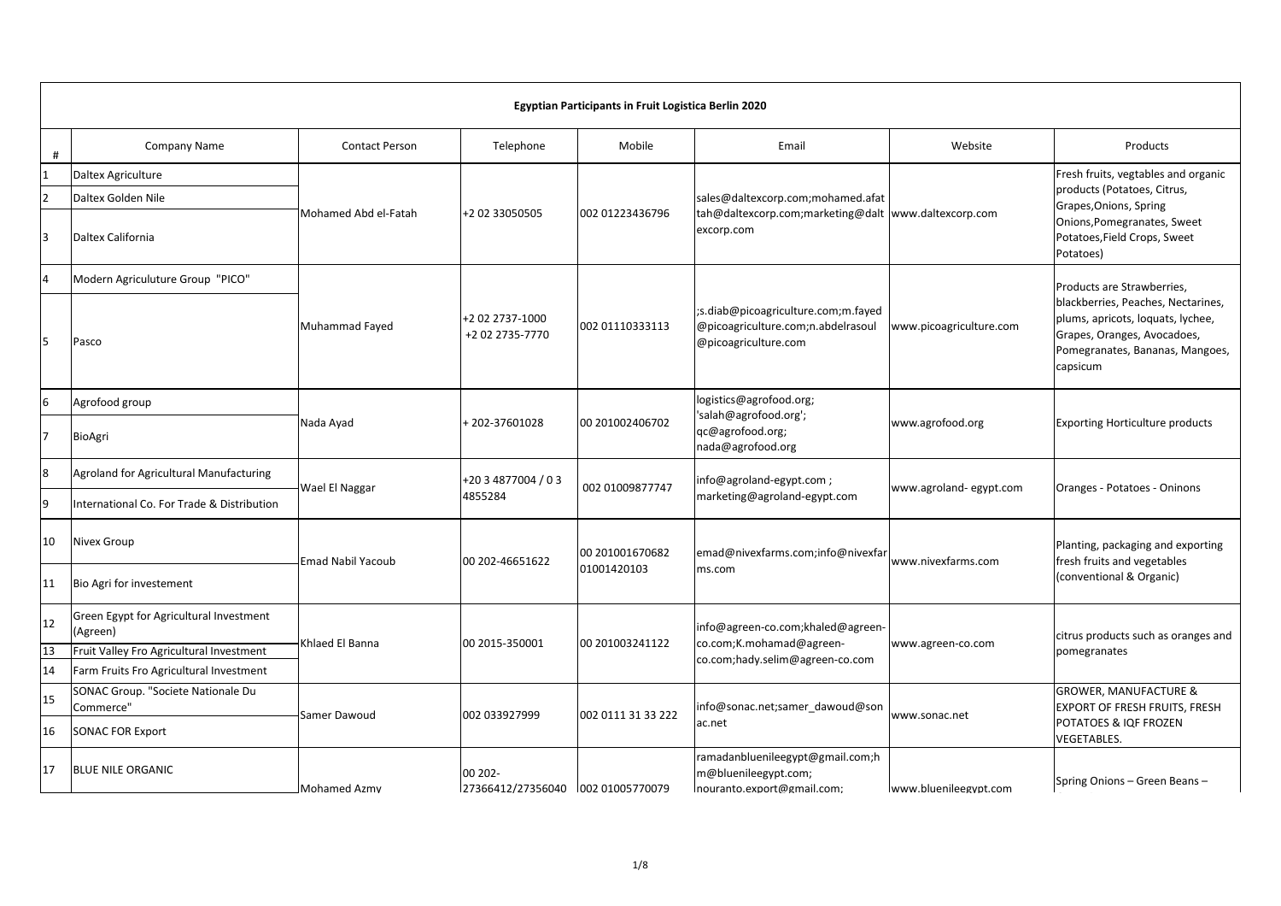|                                     | Egyptian Participants in Fruit Logistica Berlin 2020                                                                                       |                       |                                    |                                |                                                                                                         |                         |                                                                                                                                                                                     |  |  |  |
|-------------------------------------|--------------------------------------------------------------------------------------------------------------------------------------------|-----------------------|------------------------------------|--------------------------------|---------------------------------------------------------------------------------------------------------|-------------------------|-------------------------------------------------------------------------------------------------------------------------------------------------------------------------------------|--|--|--|
| #                                   | Company Name                                                                                                                               | <b>Contact Person</b> | Telephone                          | Mobile                         | Email                                                                                                   | Website                 | Products                                                                                                                                                                            |  |  |  |
| $\mathbf{1}$<br>$\overline{2}$<br>3 | <b>Daltex Agriculture</b><br>Daltex Golden Nile<br>Daltex California                                                                       | Mohamed Abd el-Fatah  | +2 02 33050505                     | 002 01223436796                | sales@daltexcorp.com;mohamed.afat<br>tah@daltexcorp.com;marketing@dalt www.daltexcorp.com<br>excorp.com |                         | Fresh fruits, vegtables and organic<br>products (Potatoes, Citrus,<br>Grapes, Onions, Spring<br>Onions, Pomegranates, Sweet<br>Potatoes, Field Crops, Sweet<br>Potatoes)            |  |  |  |
| $\overline{4}$<br>5                 | Modern Agriculuture Group "PICO"<br>Pasco                                                                                                  | Muhammad Fayed        | +2 02 2737-1000<br>+2 02 2735-7770 | 002 01110333113                | ;s.diab@picoagriculture.com;m.fayed<br>@picoagriculture.com;n.abdelrasoul<br>@picoagriculture.com       | www.picoagriculture.com | Products are Strawberries,<br>blackberries, Peaches, Nectarines,<br>plums, apricots, loquats, lychee,<br>Grapes, Oranges, Avocadoes,<br>Pomegranates, Bananas, Mangoes,<br>capsicum |  |  |  |
| 6<br>7                              | Agrofood group<br><b>BioAgri</b>                                                                                                           | Nada Ayad             | +202-37601028                      | 00 201002406702                | logistics@agrofood.org;<br>'salah@agrofood.org';<br>qc@agrofood.org;<br>nada@agrofood.org               | www.agrofood.org        | <b>Exporting Horticulture products</b>                                                                                                                                              |  |  |  |
| 8<br>9                              | Agroland for Agricultural Manufacturing<br>International Co. For Trade & Distribution                                                      | Wael El Naggar        | +20 3 4877004 / 0 3<br>4855284     | 002 01009877747                | info@agroland-egypt.com;<br>marketing@agroland-egypt.com                                                | www.agroland-egypt.com  | Oranges - Potatoes - Oninons                                                                                                                                                        |  |  |  |
| 10<br>11                            | <b>Nivex Group</b><br>Bio Agri for investement                                                                                             | Emad Nabil Yacoub     | 00 202-46651622                    | 00 201001670682<br>01001420103 | emad@nivexfarms.com;info@nivexfar<br>ms.com                                                             | www.nivexfarms.com      | Planting, packaging and exporting<br>fresh fruits and vegetables<br>(conventional & Organic)                                                                                        |  |  |  |
| 12<br>13<br>14                      | Green Egypt for Agricultural Investment<br>(Agreen)<br>Fruit Valley Fro Agricultural Investment<br>Farm Fruits Fro Agricultural Investment | Khlaed El Banna       | 00 2015-350001                     | 00 201003241122                | info@agreen-co.com;khaled@agreen-<br>co.com;K.mohamad@agreen-<br>co.com;hady.selim@agreen-co.com        | www.agreen-co.com       | citrus products such as oranges and<br>pomegranates                                                                                                                                 |  |  |  |
| 15<br>16                            | SONAC Group. "Societe Nationale Du<br>Commerce"<br><b>SONAC FOR Export</b>                                                                 | Samer Dawoud          | 002 033927999                      | 002 0111 31 33 222             | info@sonac.net;samer dawoud@son<br>ac.net                                                               | www.sonac.net           | <b>GROWER, MANUFACTURE &amp;</b><br>EXPORT OF FRESH FRUITS, FRESH<br>POTATOES & IQF FROZEN<br><b>VEGETABLES.</b>                                                                    |  |  |  |
| 17                                  | <b>BLUE NILE ORGANIC</b>                                                                                                                   | <b>Mohamed Azmy</b>   | 00 202-                            |                                | ramadanbluenileegypt@gmail.com;h<br>m@bluenileegypt.com;<br>nouranto.export@gmail.com;                  | www.bluenileegypt.com   | Spring Onions - Green Beans -                                                                                                                                                       |  |  |  |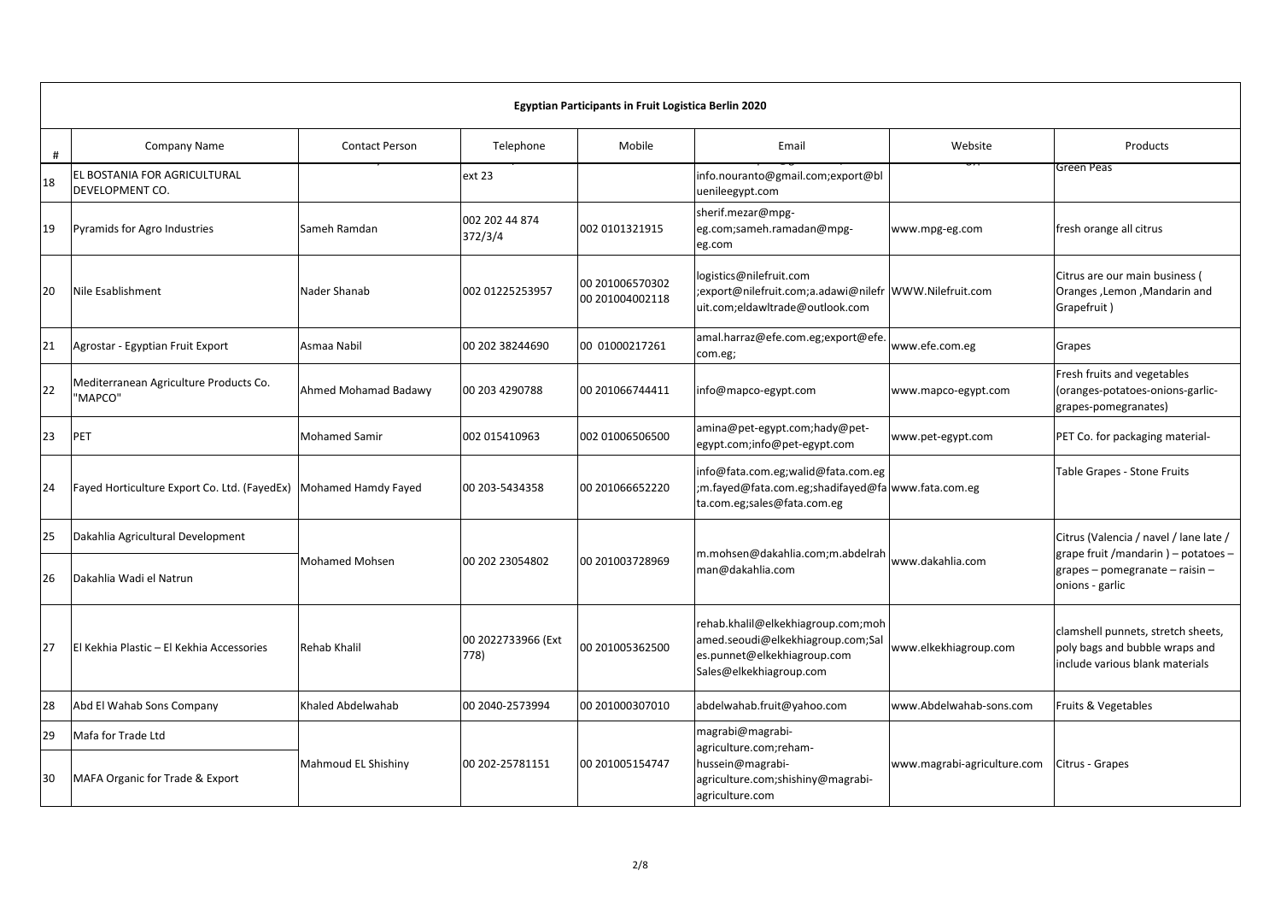|    | Egyptian Participants in Fruit Logistica Berlin 2020             |                       |                            |                                    |                                                                                                                                   |                             |                                                                                                         |  |  |  |
|----|------------------------------------------------------------------|-----------------------|----------------------------|------------------------------------|-----------------------------------------------------------------------------------------------------------------------------------|-----------------------------|---------------------------------------------------------------------------------------------------------|--|--|--|
| #  | Company Name                                                     | <b>Contact Person</b> | Telephone                  | Mobile                             | Email                                                                                                                             | Website                     | Products                                                                                                |  |  |  |
| 18 | EL BOSTANIA FOR AGRICULTURAL<br><b>DEVELOPMENT CO.</b>           |                       | ext 23                     |                                    | info.nouranto@gmail.com;export@bl<br>uenileegypt.com                                                                              |                             | Green Peas                                                                                              |  |  |  |
| 19 | Pyramids for Agro Industries                                     | Sameh Ramdan          | 002 202 44 874<br>372/3/4  | 002 0101321915                     | sherif.mezar@mpg-<br>eg.com;sameh.ramadan@mpg-<br>eg.com                                                                          | www.mpg-eg.com              | fresh orange all citrus                                                                                 |  |  |  |
| 20 | Nile Esablishment                                                | Nader Shanab          | 002 01225253957            | 00 201006570302<br>00 201004002118 | logistics@nilefruit.com<br>export@nilefruit.com;a.adawi@nilefr  WWW.Nilefruit.com;<br>uit.com;eldawltrade@outlook.com             |                             | Citrus are our main business (<br>Oranges , Lemon , Mandarin and<br>Grapefruit)                         |  |  |  |
| 21 | Agrostar - Egyptian Fruit Export                                 | Asmaa Nabil           | 00 202 38244690            | 00 01000217261                     | amal.harraz@efe.com.eg;export@efe.<br>com.eg;                                                                                     | www.efe.com.eg              | Grapes                                                                                                  |  |  |  |
| 22 | Mediterranean Agriculture Products Co.<br>"MAPCO"                | Ahmed Mohamad Badawy  | 00 203 4290788             | 00 201066744411                    | info@mapco-egypt.com                                                                                                              | www.mapco-egypt.com         | Fresh fruits and vegetables<br>(oranges-potatoes-onions-garlic-<br>grapes-pomegranates)                 |  |  |  |
| 23 | <b>PET</b>                                                       | <b>Mohamed Samir</b>  | 002 015410963              | 002 01006506500                    | amina@pet-egypt.com;hady@pet-<br>egypt.com;info@pet-egypt.com                                                                     | www.pet-egypt.com           | PET Co. for packaging material-                                                                         |  |  |  |
| 24 | Fayed Horticulture Export Co. Ltd. (FayedEx) Mohamed Hamdy Fayed |                       | 00 203-5434358             | 00 201066652220                    | info@fata.com.eg;walid@fata.com.eg<br>m.fayed@fata.com.eg;shadifayed@fa www.fata.com.eg;<br>ta.com.eg;sales@fata.com.eg           |                             | Table Grapes - Stone Fruits                                                                             |  |  |  |
| 25 | Dakahlia Agricultural Development                                |                       |                            |                                    |                                                                                                                                   |                             | Citrus (Valencia / navel / lane late /                                                                  |  |  |  |
| 26 | Dakahlia Wadi el Natrun                                          | <b>Mohamed Mohsen</b> | 00 202 23054802            | 00 201003728969                    | m.mohsen@dakahlia.com;m.abdelrah<br>man@dakahlia.com                                                                              | www.dakahlia.com            | grape fruit /mandarin ) – potatoes –<br>grapes - pomegranate - raisin -<br>onions - garlic              |  |  |  |
| 27 | El Kekhia Plastic - El Kekhia Accessories                        | Rehab Khalil          | 00 2022733966 (Ext<br>778) | 00 201005362500                    | rehab.khalil@elkekhiagroup.com;moh<br>amed.seoudi@elkekhiagroup.com;Sal<br>es.punnet@elkekhiagroup.com<br>Sales@elkekhiagroup.com | www.elkekhiagroup.com       | clamshell punnets, stretch sheets,<br>poly bags and bubble wraps and<br>include various blank materials |  |  |  |
| 28 | Abd El Wahab Sons Company                                        | Khaled Abdelwahab     | 00 2040-2573994            | 00 201000307010                    | abdelwahab.fruit@yahoo.com                                                                                                        | www.Abdelwahab-sons.com     | Fruits & Vegetables                                                                                     |  |  |  |
| 29 | Mafa for Trade Ltd                                               |                       |                            |                                    | magrabi@magrabi-<br>agriculture.com;reham-                                                                                        |                             |                                                                                                         |  |  |  |
| 30 | MAFA Organic for Trade & Export                                  | Mahmoud EL Shishiny   | 00 202-25781151            | 00 201005154747                    | hussein@magrabi-<br>agriculture.com;shishiny@magrabi-<br>agriculture.com                                                          | www.magrabi-agriculture.com | Citrus - Grapes                                                                                         |  |  |  |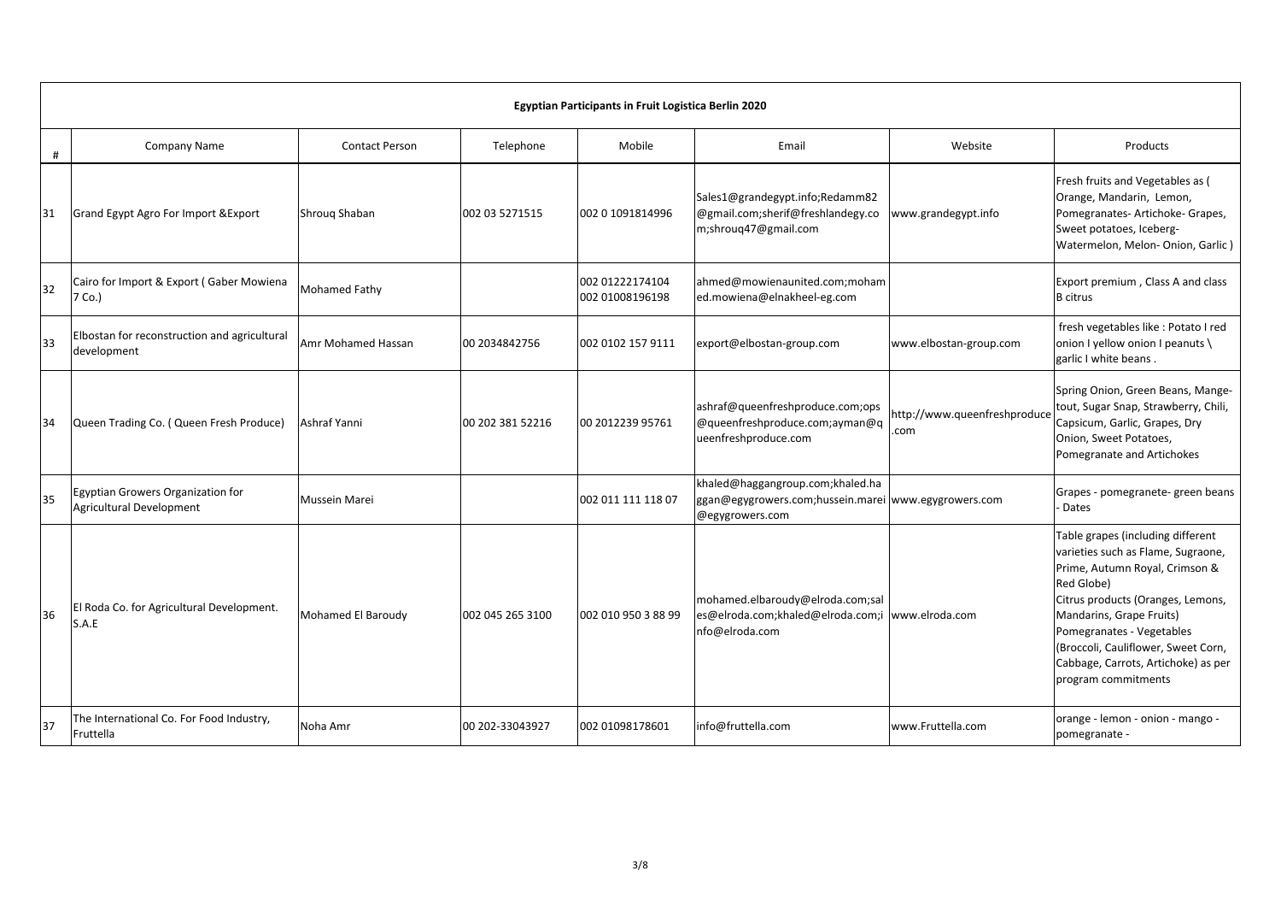|     | Egyptian Participants in Fruit Logistica Berlin 2020          |                       |                  |                                    |                                                                                                             |                                      |                                                                                                                                                                                                                                                                                                                            |  |  |  |
|-----|---------------------------------------------------------------|-----------------------|------------------|------------------------------------|-------------------------------------------------------------------------------------------------------------|--------------------------------------|----------------------------------------------------------------------------------------------------------------------------------------------------------------------------------------------------------------------------------------------------------------------------------------------------------------------------|--|--|--|
| #   | <b>Company Name</b>                                           | <b>Contact Person</b> | Telephone        | <b>Mobile</b>                      | Email                                                                                                       | Website                              | Products                                                                                                                                                                                                                                                                                                                   |  |  |  |
| 31  | Grand Egypt Agro For Import & Export                          | Shroug Shaban         | 002 03 5271515   | 002 0 1091814996                   | Sales1@grandegypt.info;Redamm82<br>@gmail.com;sherif@freshlandegy.co<br>m;shroug47@gmail.com                | www.grandegypt.info                  | Fresh fruits and Vegetables as (<br>Orange, Mandarin, Lemon,<br>Pomegranates- Artichoke- Grapes,<br>Sweet potatoes, Iceberg-<br>Watermelon, Melon-Onion, Garlic)                                                                                                                                                           |  |  |  |
| 32  | Cairo for Import & Export (Gaber Mowiena<br>7 Co.)            | Mohamed Fathy         |                  | 002 01222174104<br>002 01008196198 | ahmed@mowienaunited.com;moham<br>ed.mowiena@elnakheel-eg.com                                                |                                      | Export premium, Class A and class<br><b>B</b> citrus                                                                                                                                                                                                                                                                       |  |  |  |
| 33  | Elbostan for reconstruction and agricultural<br>development   | Amr Mohamed Hassan    | 00 2034842756    | 002 0102 157 9111                  | export@elbostan-group.com                                                                                   | www.elbostan-group.com               | fresh vegetables like : Potato I red<br>onion I yellow onion I peanuts \<br>garlic I white beans.                                                                                                                                                                                                                          |  |  |  |
| 134 | Queen Trading Co. (Queen Fresh Produce)                       | Ashraf Yanni          | 00 202 381 52216 | 00 2012239 95761                   | ashraf@queenfreshproduce.com;ops<br>@queenfreshproduce.com;ayman@q<br>ueenfreshproduce.com                  | http://www.queenfreshproduce<br>.com | Spring Onion, Green Beans, Mange-<br>tout, Sugar Snap, Strawberry, Chili,<br>Capsicum, Garlic, Grapes, Dry<br>Onion, Sweet Potatoes,<br>Pomegranate and Artichokes                                                                                                                                                         |  |  |  |
| 35  | Egyptian Growers Organization for<br>Agricultural Development | Mussein Marei         |                  | 002 011 111 118 07                 | khaled@haggangroup.com;khaled.ha<br>ggan@egygrowers.com;hussein.marei www.egygrowers.com<br>@egygrowers.com |                                      | Grapes - pomegranete- green beans<br>- Dates                                                                                                                                                                                                                                                                               |  |  |  |
| 36  | El Roda Co. for Agricultural Development.<br>S.A.E            | Mohamed El Baroudy    | 002 045 265 3100 | 002 010 950 3 88 99                | mohamed.elbaroudy@elroda.com;sal<br>es@elroda.com;khaled@elroda.com;i<br>nfo@elroda.com                     | www.elroda.com                       | Table grapes (including different<br>varieties such as Flame, Sugraone,<br>Prime, Autumn Royal, Crimson &<br>Red Globe)<br>Citrus products (Oranges, Lemons,<br>Mandarins, Grape Fruits)<br>Pomegranates - Vegetables<br>(Broccoli, Cauliflower, Sweet Corn,<br>Cabbage, Carrots, Artichoke) as per<br>program commitments |  |  |  |
| 37  | The International Co. For Food Industry,<br>Fruttella         | Noha Amr              | 00 202-33043927  | 002 01098178601                    | info@fruttella.com                                                                                          | www.Fruttella.com                    | orange - lemon - onion - mango -<br>pomegranate -                                                                                                                                                                                                                                                                          |  |  |  |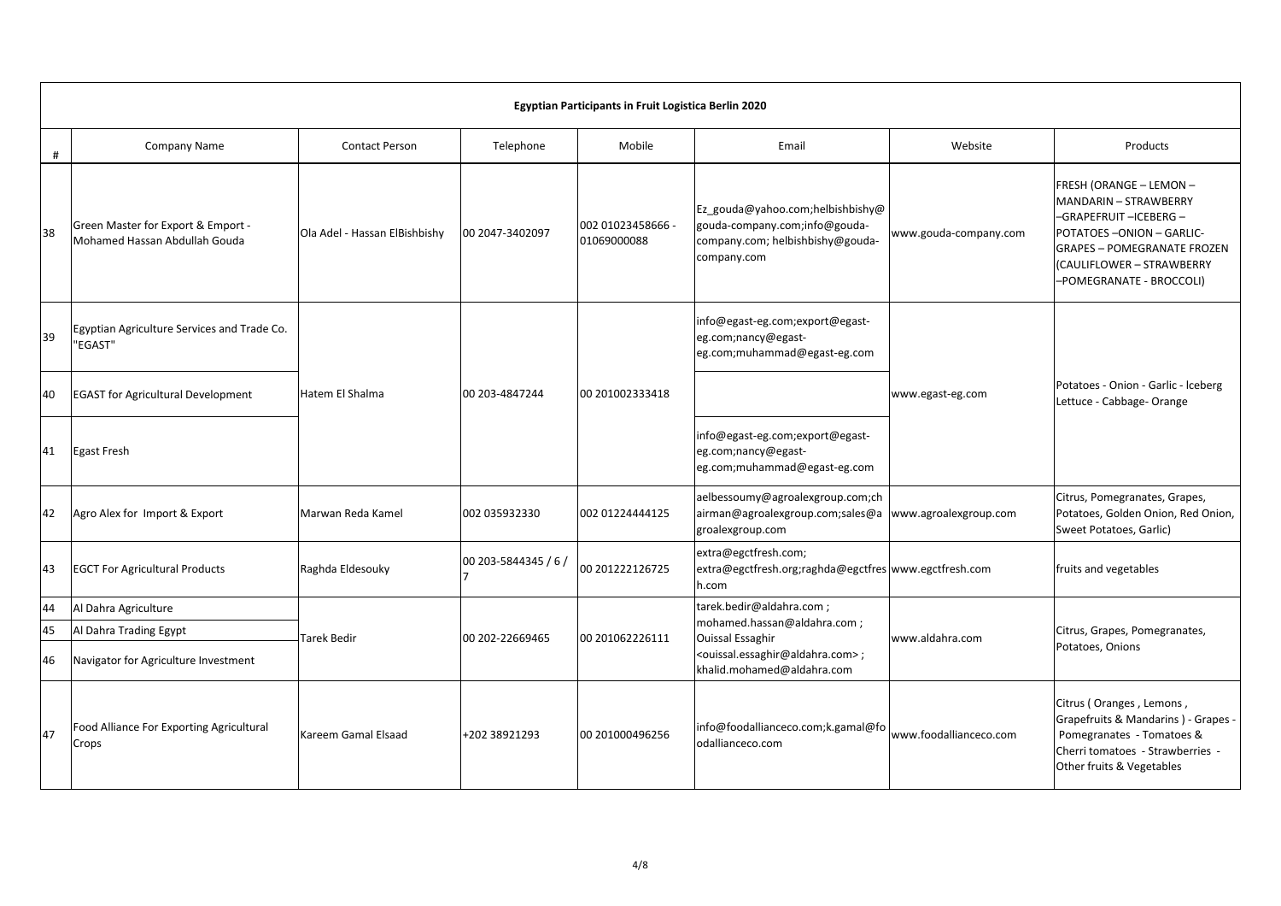|    | Egyptian Participants in Fruit Logistica Berlin 2020                |                               |                      |                                  |                                                                                                                      |                        |                                                                                                                                                                                                   |  |  |  |  |
|----|---------------------------------------------------------------------|-------------------------------|----------------------|----------------------------------|----------------------------------------------------------------------------------------------------------------------|------------------------|---------------------------------------------------------------------------------------------------------------------------------------------------------------------------------------------------|--|--|--|--|
| #  | Company Name                                                        | <b>Contact Person</b>         | Telephone            | Mobile                           | Email                                                                                                                | Website                | Products                                                                                                                                                                                          |  |  |  |  |
| 38 | Green Master for Export & Emport -<br>Mohamed Hassan Abdullah Gouda | Ola Adel - Hassan ElBishbishy | 00 2047-3402097      | 002 01023458666 -<br>01069000088 | Ez_gouda@yahoo.com;helbishbishy@<br>gouda-company.com;info@gouda-<br>company.com; helbishbishy@gouda-<br>company.com | www.gouda-company.com  | FRESH (ORANGE - LEMON -<br>MANDARIN - STRAWBERRY<br>-GRAPEFRUIT-ICEBERG-<br>POTATOES-ONION-GARLIC-<br><b>GRAPES - POMEGRANATE FROZEN</b><br>(CAULIFLOWER - STRAWBERRY<br>-POMEGRANATE - BROCCOLI) |  |  |  |  |
| 39 | Egyptian Agriculture Services and Trade Co.<br>"EGAST"              |                               |                      |                                  | info@egast-eg.com;export@egast-<br>eg.com;nancy@egast-<br>eg.com;muhammad@egast-eg.com                               |                        |                                                                                                                                                                                                   |  |  |  |  |
| 40 | <b>EGAST for Agricultural Development</b>                           | Hatem El Shalma               | 00 203-4847244       | 00 201002333418                  |                                                                                                                      | www.egast-eg.com       | Potatoes - Onion - Garlic - Iceberg<br>Lettuce - Cabbage- Orange                                                                                                                                  |  |  |  |  |
| 41 | <b>Egast Fresh</b>                                                  |                               |                      |                                  | info@egast-eg.com;export@egast-<br>eg.com;nancy@egast-<br>eg.com;muhammad@egast-eg.com                               |                        |                                                                                                                                                                                                   |  |  |  |  |
| 42 | Agro Alex for Import & Export                                       | Marwan Reda Kamel             | 002 035932330        | 002 01224444125                  | aelbessoumy@agroalexgroup.com;ch<br>airman@agroalexgroup.com;sales@a<br>groalexgroup.com                             | www.agroalexgroup.com  | Citrus, Pomegranates, Grapes,<br>Potatoes, Golden Onion, Red Onion,<br>Sweet Potatoes, Garlic)                                                                                                    |  |  |  |  |
| 43 | <b>EGCT For Agricultural Products</b>                               | Raghda Eldesouky              | 00 203-5844345 / 6 / | 00 201222126725                  | extra@egctfresh.com;<br>extra@egctfresh.org;raghda@egctfres www.egctfresh.com<br>h.com                               |                        | fruits and vegetables                                                                                                                                                                             |  |  |  |  |
| 44 | Al Dahra Agriculture                                                |                               |                      |                                  | tarek.bedir@aldahra.com;                                                                                             |                        |                                                                                                                                                                                                   |  |  |  |  |
| 45 | Al Dahra Trading Egypt                                              | Tarek Bedir                   | 00 202-22669465      | 00 201062226111                  | mohamed.hassan@aldahra.com;<br><b>Ouissal Essaghir</b>                                                               | www.aldahra.com        | Citrus, Grapes, Pomegranates,                                                                                                                                                                     |  |  |  |  |
| 46 | Navigator for Agriculture Investment                                |                               |                      |                                  | <ouissal.essaghir@aldahra.com>;<br/>khalid.mohamed@aldahra.com</ouissal.essaghir@aldahra.com>                        |                        | Potatoes, Onions                                                                                                                                                                                  |  |  |  |  |
| 47 | Food Alliance For Exporting Agricultural<br>Crops                   | Kareem Gamal Elsaad           | +202 38921293        | 00 201000496256                  | info@foodallianceco.com;k.gamal@fo<br>odallianceco.com                                                               | www.foodallianceco.com | Citrus (Oranges, Lemons,<br>Grapefruits & Mandarins ) - Grapes -<br>Pomegranates - Tomatoes &<br>Cherri tomatoes - Strawberries -<br>Other fruits & Vegetables                                    |  |  |  |  |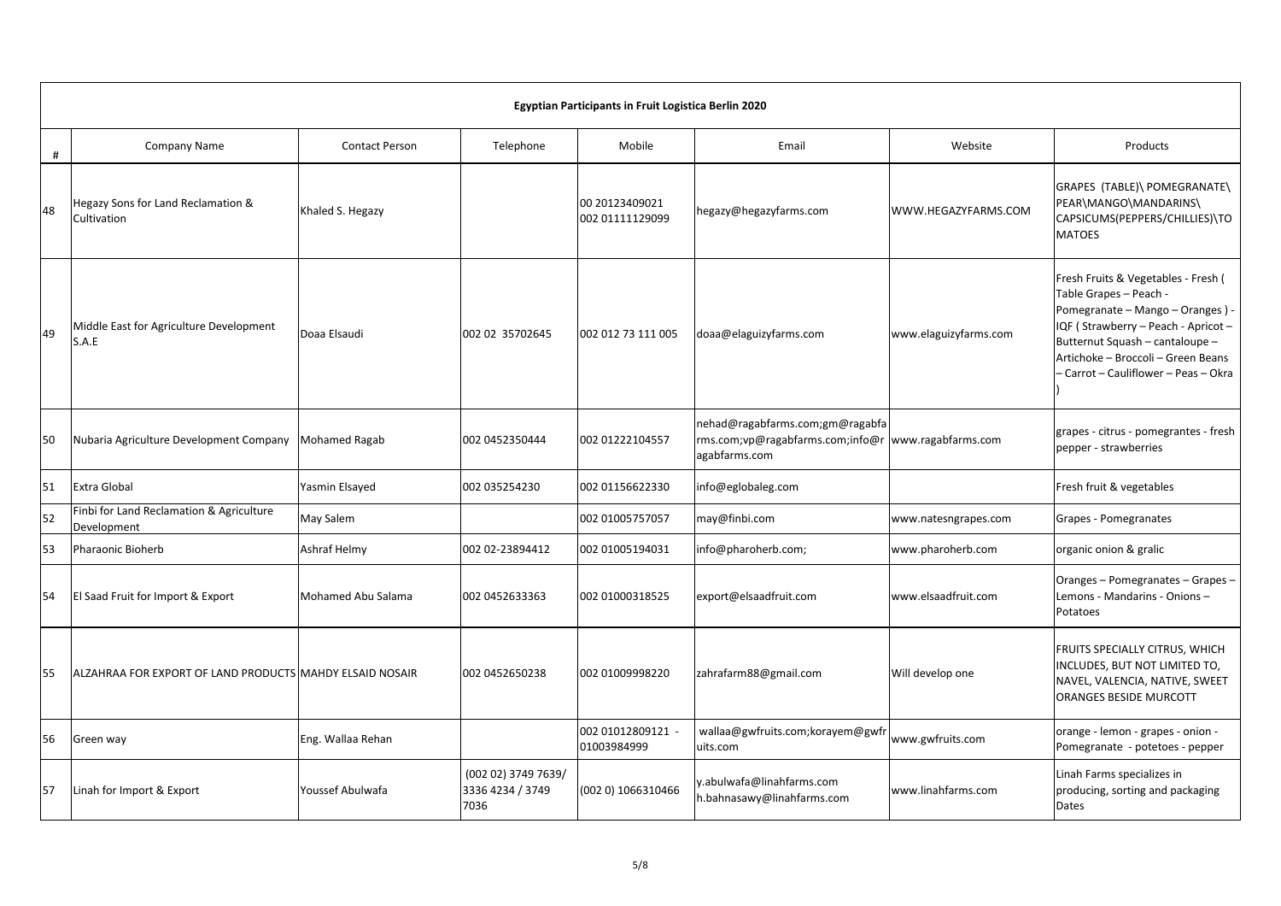|    | Egyptian Participants in Fruit Logistica Berlin 2020     |                       |                                                 |                                   |                                                                                      |                       |                                                                                                                                                                                                                                                           |  |  |  |  |
|----|----------------------------------------------------------|-----------------------|-------------------------------------------------|-----------------------------------|--------------------------------------------------------------------------------------|-----------------------|-----------------------------------------------------------------------------------------------------------------------------------------------------------------------------------------------------------------------------------------------------------|--|--|--|--|
| #  | <b>Company Name</b>                                      | <b>Contact Person</b> | Telephone                                       | Mobile                            | Email                                                                                | Website               | Products                                                                                                                                                                                                                                                  |  |  |  |  |
| 48 | Hegazy Sons for Land Reclamation &<br>Cultivation        | Khaled S. Hegazy      |                                                 | 00 20123409021<br>002 01111129099 | hegazy@hegazyfarms.com                                                               | WWW.HEGAZYFARMS.COM   | GRAPES (TABLE)\ POMEGRANATE\<br>PEAR\MANGO\MANDARINS\<br>CAPSICUMS(PEPPERS/CHILLIES)\TO<br><b>MATOES</b>                                                                                                                                                  |  |  |  |  |
| 49 | Middle East for Agriculture Development<br>S.A.E         | Doaa Elsaudi          | 002 02 35702645                                 | 002 012 73 111 005                | doaa@elaguizyfarms.com                                                               | www.elaguizyfarms.com | Fresh Fruits & Vegetables - Fresh (<br>Table Grapes - Peach -<br>Pomegranate - Mango - Oranges) -<br>IQF (Strawberry - Peach - Apricot -<br>Butternut Squash - cantaloupe -<br>Artichoke - Broccoli - Green Beans<br>- Carrot - Cauliflower - Peas - Okra |  |  |  |  |
| 50 | Nubaria Agriculture Development Company                  | Mohamed Ragab         | 002 0452350444                                  | 002 01222104557                   | nehad@ragabfarms.com;gm@ragabfa<br>rms.com;vp@ragabfarms.com;info@r<br>agabfarms.com | www.ragabfarms.com    | grapes - citrus - pomegrantes - fresh<br>pepper - strawberries                                                                                                                                                                                            |  |  |  |  |
| 51 | <b>Extra Global</b>                                      | Yasmin Elsayed        | 002 035254230                                   | 002 01156622330                   | info@eglobaleg.com                                                                   |                       | Fresh fruit & vegetables                                                                                                                                                                                                                                  |  |  |  |  |
| 52 | Finbi for Land Reclamation & Agriculture<br>Development  | May Salem             |                                                 | 002 01005757057                   | may@finbi.com                                                                        | www.natesngrapes.com  | Grapes - Pomegranates                                                                                                                                                                                                                                     |  |  |  |  |
| 53 | Pharaonic Bioherb                                        | Ashraf Helmy          | 002 02-23894412                                 | 002 01005194031                   | nfo@pharoherb.com;                                                                   | www.pharoherb.com     | organic onion & gralic                                                                                                                                                                                                                                    |  |  |  |  |
| 54 | El Saad Fruit for Import & Export                        | Mohamed Abu Salama    | 002 0452633363                                  | 002 01000318525                   | export@elsaadfruit.com                                                               | www.elsaadfruit.com   | Oranges - Pomegranates - Grapes -<br>Lemons - Mandarins - Onions -<br>Potatoes                                                                                                                                                                            |  |  |  |  |
| 55 | ALZAHRAA FOR EXPORT OF LAND PRODUCTS MAHDY ELSAID NOSAIR |                       | 002 0452650238                                  | 002 01009998220                   | zahrafarm88@gmail.com                                                                | Will develop one      | <b>FRUITS SPECIALLY CITRUS, WHICH</b><br>INCLUDES, BUT NOT LIMITED TO,<br>NAVEL, VALENCIA, NATIVE, SWEET<br><b>ORANGES BESIDE MURCOTT</b>                                                                                                                 |  |  |  |  |
| 56 | Green way                                                | Eng. Wallaa Rehan     |                                                 | 002 01012809121 -<br>01003984999  | wallaa@gwfruits.com;korayem@gwfr<br>uits.com                                         | www.gwfruits.com      | orange - lemon - grapes - onion -<br>Pomegranate - potetoes - pepper                                                                                                                                                                                      |  |  |  |  |
| 57 | Linah for Import & Export                                | Youssef Abulwafa      | (002 02) 3749 7639/<br>3336 4234 / 3749<br>7036 | (002 0) 1066310466                | y.abulwafa@linahfarms.com<br>h.bahnasawy@linahfarms.com                              | www.linahfarms.com    | Linah Farms specializes in<br>producing, sorting and packaging<br>Dates                                                                                                                                                                                   |  |  |  |  |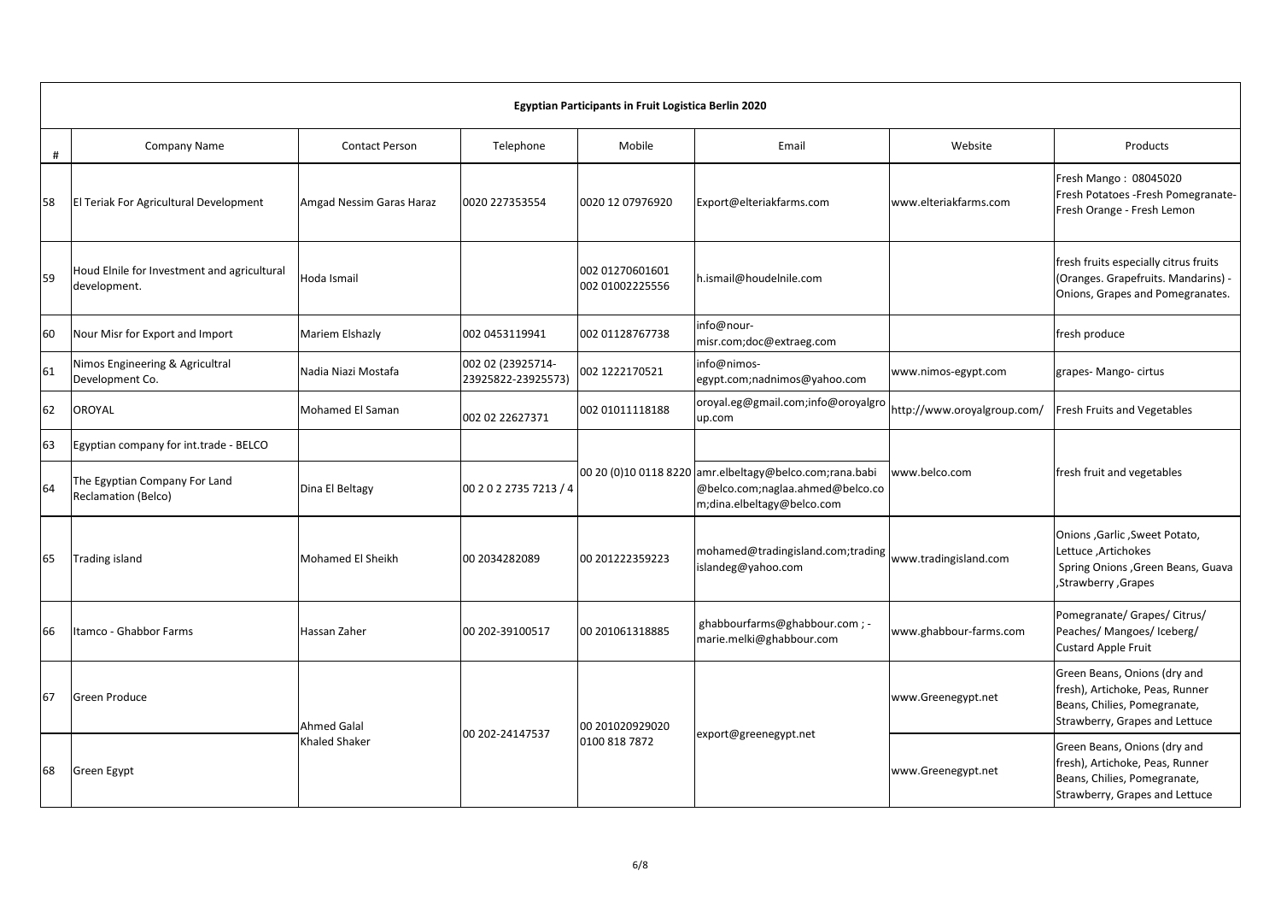|    | Egyptian Participants in Fruit Logistica Berlin 2020        |                                            |                                         |                                    |                                                                                                                           |                             |                                                                                                                                   |  |  |  |  |
|----|-------------------------------------------------------------|--------------------------------------------|-----------------------------------------|------------------------------------|---------------------------------------------------------------------------------------------------------------------------|-----------------------------|-----------------------------------------------------------------------------------------------------------------------------------|--|--|--|--|
| #  | <b>Company Name</b>                                         | <b>Contact Person</b>                      | Telephone                               | Mobile                             | Email                                                                                                                     | Website                     | Products                                                                                                                          |  |  |  |  |
| 58 | El Teriak For Agricultural Development                      | Amgad Nessim Garas Haraz                   | 0020 227353554                          | 0020 12 07976920                   | Export@elteriakfarms.com                                                                                                  | www.elteriakfarms.com       | Fresh Mango: 08045020<br>Fresh Potatoes - Fresh Pomegranate-<br>Fresh Orange - Fresh Lemon                                        |  |  |  |  |
| 59 | Houd Elnile for Investment and agricultural<br>development. | Hoda Ismail                                |                                         | 002 01270601601<br>002 01002225556 | h.ismail@houdelnile.com                                                                                                   |                             | fresh fruits especially citrus fruits<br>(Oranges. Grapefruits. Mandarins) -<br>Onions, Grapes and Pomegranates.                  |  |  |  |  |
| 60 | Nour Misr for Export and Import                             | Mariem Elshazly                            | 002 0453119941                          | 002 01128767738                    | info@nour-<br>misr.com;doc@extraeg.com                                                                                    |                             | fresh produce                                                                                                                     |  |  |  |  |
| 61 | Nimos Engineering & Agricultral<br>Development Co.          | Nadia Niazi Mostafa                        | 002 02 (23925714-<br>23925822-23925573) | 002 1222170521                     | info@nimos-<br>egypt.com;nadnimos@yahoo.com                                                                               | www.nimos-egypt.com         | grapes- Mango- cirtus                                                                                                             |  |  |  |  |
| 62 | OROYAL                                                      | Mohamed El Saman                           | 002 02 22627371                         | 002 01011118188                    | oroyal.eg@gmail.com;info@oroyalgro<br>up.com                                                                              | http://www.oroyalgroup.com/ | Fresh Fruits and Vegetables                                                                                                       |  |  |  |  |
| 63 | Egyptian company for int.trade - BELCO                      |                                            |                                         |                                    |                                                                                                                           |                             |                                                                                                                                   |  |  |  |  |
| 64 | The Egyptian Company For Land<br>Reclamation (Belco)        | Dina El Beltagy                            | 00 2 0 2 2735 7213 / 4                  |                                    | 00 20 (0)10 0118 8220 amr.elbeltagy@belco.com;rana.babi<br>@belco.com;naglaa.ahmed@belco.co<br>m;dina.elbeltagy@belco.com | www.belco.com               | fresh fruit and vegetables                                                                                                        |  |  |  |  |
| 65 | <b>Trading island</b>                                       | Mohamed El Sheikh                          | 00 2034282089                           | 00 201222359223                    | mohamed@tradingisland.com;trading<br>islandeg@yahoo.com                                                                   | www.tradingisland.com       | Onions , Garlic , Sweet Potato,<br>Lettuce, Artichokes<br>Spring Onions , Green Beans, Guava<br>, Strawberry, Grapes              |  |  |  |  |
| 66 | Itamco - Ghabbor Farms                                      | Hassan Zaher                               | 00 202-39100517                         | 00 201061318885                    | ghabbourfarms@ghabbour.com ; -<br>marie.melki@ghabbour.com                                                                | www.ghabbour-farms.com      | Pomegranate/ Grapes/ Citrus/<br>Peaches/ Mangoes/ Iceberg/<br><b>Custard Apple Fruit</b>                                          |  |  |  |  |
| 67 | <b>Green Produce</b>                                        | <b>Ahmed Galal</b><br><b>Khaled Shaker</b> |                                         | 00 201020929020<br>0100 818 7872   | export@greenegypt.net                                                                                                     | www.Greenegypt.net          | Green Beans, Onions (dry and<br>fresh), Artichoke, Peas, Runner<br>Beans, Chilies, Pomegranate,<br>Strawberry, Grapes and Lettuce |  |  |  |  |
| 68 | <b>Green Egypt</b>                                          |                                            | 00 202-24147537                         |                                    |                                                                                                                           | www.Greenegypt.net          | Green Beans, Onions (dry and<br>fresh), Artichoke, Peas, Runner<br>Beans, Chilies, Pomegranate,<br>Strawberry, Grapes and Lettuce |  |  |  |  |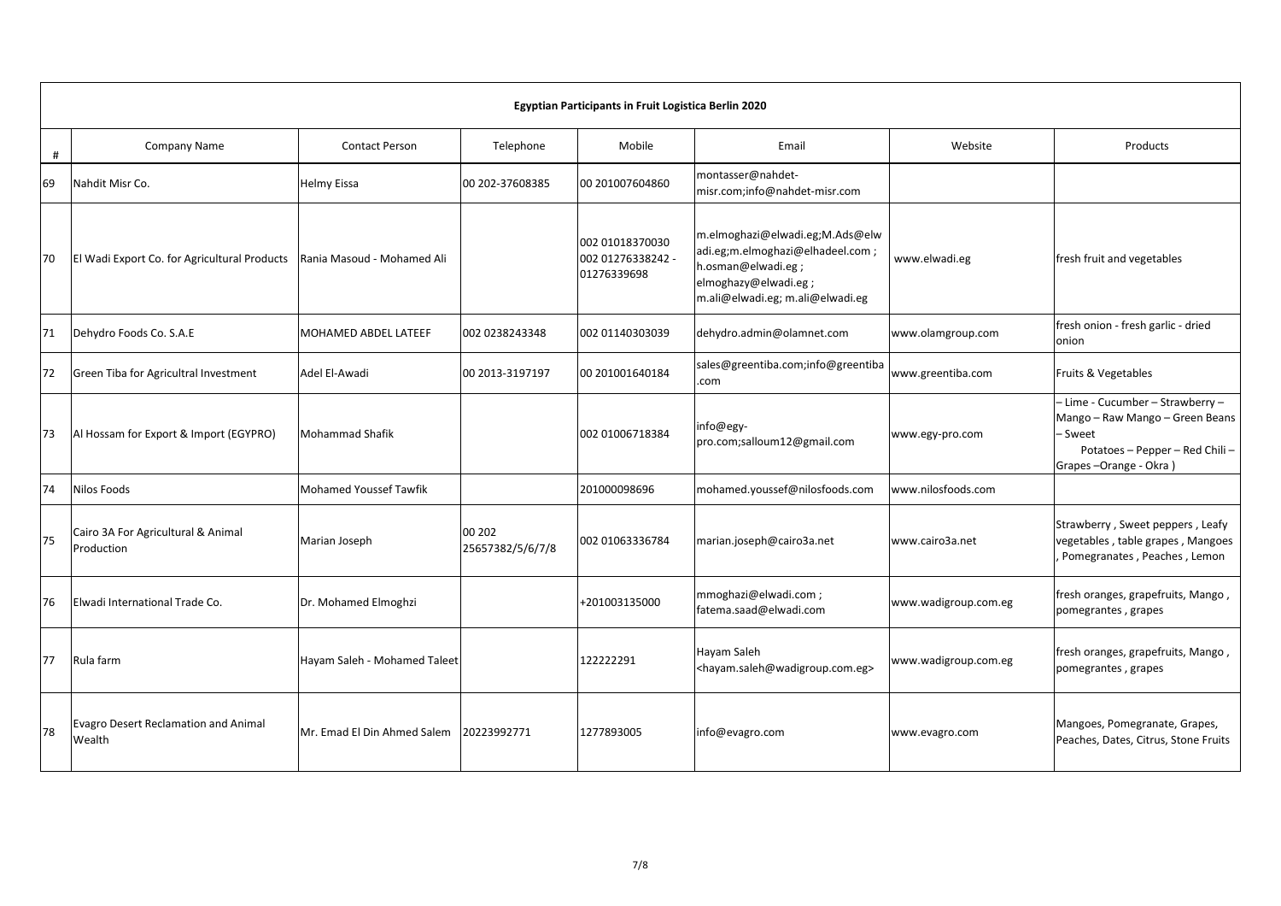|    | Egyptian Participants in Fruit Logistica Berlin 2020  |                               |                            |                                                     |                                                                                                                                                       |                      |                                                                                                                                            |  |  |  |
|----|-------------------------------------------------------|-------------------------------|----------------------------|-----------------------------------------------------|-------------------------------------------------------------------------------------------------------------------------------------------------------|----------------------|--------------------------------------------------------------------------------------------------------------------------------------------|--|--|--|
| #  | Company Name                                          | <b>Contact Person</b>         | Telephone                  | Mobile                                              | Email                                                                                                                                                 | Website              | Products                                                                                                                                   |  |  |  |
| 69 | Nahdit Misr Co.                                       | <b>Helmy Eissa</b>            | 00 202-37608385            | 00 201007604860                                     | montasser@nahdet-<br>misr.com;info@nahdet-misr.com                                                                                                    |                      |                                                                                                                                            |  |  |  |
| 70 | El Wadi Export Co. for Agricultural Products          | Rania Masoud - Mohamed Ali    |                            | 002 01018370030<br>002 01276338242 -<br>01276339698 | m.elmoghazi@elwadi.eg;M.Ads@elw<br>adi.eg;m.elmoghazi@elhadeel.com;<br>h.osman@elwadi.eg;<br>elmoghazy@elwadi.eg;<br>m.ali@elwadi.eg; m.ali@elwadi.eg | www.elwadi.eg        | fresh fruit and vegetables                                                                                                                 |  |  |  |
| 71 | Dehydro Foods Co. S.A.E                               | MOHAMED ABDEL LATEEF          | 002 0238243348             | 002 01140303039                                     | dehydro.admin@olamnet.com                                                                                                                             | www.olamgroup.com    | fresh onion - fresh garlic - dried<br>onion                                                                                                |  |  |  |
| 72 | Green Tiba for Agricultral Investment                 | Adel El-Awadi                 | 00 2013-3197197            | 00 201001640184                                     | sales@greentiba.com;info@greentiba<br>.com                                                                                                            | www.greentiba.com    | Fruits & Vegetables                                                                                                                        |  |  |  |
| 73 | Al Hossam for Export & Import (EGYPRO)                | <b>Mohammad Shafik</b>        |                            | 002 01006718384                                     | info@egy-<br>pro.com;salloum12@gmail.com                                                                                                              | www.egy-pro.com      | - Lime - Cucumber - Strawberry -<br>Mango - Raw Mango - Green Beans<br>– Sweet<br>Potatoes - Pepper - Red Chili -<br>Grapes-Orange - Okra) |  |  |  |
| 74 | Nilos Foods                                           | <b>Mohamed Youssef Tawfik</b> |                            | 201000098696                                        | mohamed.youssef@nilosfoods.com                                                                                                                        | www.nilosfoods.com   |                                                                                                                                            |  |  |  |
| 75 | Cairo 3A For Agricultural & Animal<br>Production      | Marian Joseph                 | 00 202<br>25657382/5/6/7/8 | 002 01063336784                                     | marian.joseph@cairo3a.net                                                                                                                             | www.cairo3a.net      | Strawberry, Sweet peppers, Leafy<br>vegetables, table grapes, Mangoes<br>Pomegranates, Peaches, Lemon                                      |  |  |  |
| 76 | Elwadi International Trade Co.                        | Dr. Mohamed Elmoghzi          |                            | +201003135000                                       | mmoghazi@elwadi.com;<br>fatema.saad@elwadi.com                                                                                                        | www.wadigroup.com.eg | fresh oranges, grapefruits, Mango,<br>pomegrantes, grapes                                                                                  |  |  |  |
| 77 | Rula farm                                             | Hayam Saleh - Mohamed Taleet  |                            | 122222291                                           | Hayam Saleh<br><hayam.saleh@wadigroup.com.eg></hayam.saleh@wadigroup.com.eg>                                                                          | www.wadigroup.com.eg | fresh oranges, grapefruits, Mango,<br>pomegrantes, grapes                                                                                  |  |  |  |
| 78 | <b>Evagro Desert Reclamation and Animal</b><br>Wealth | Mr. Emad El Din Ahmed Salem   | 20223992771                | 1277893005                                          | info@evagro.com                                                                                                                                       | www.evagro.com       | Mangoes, Pomegranate, Grapes,<br>Peaches, Dates, Citrus, Stone Fruits                                                                      |  |  |  |